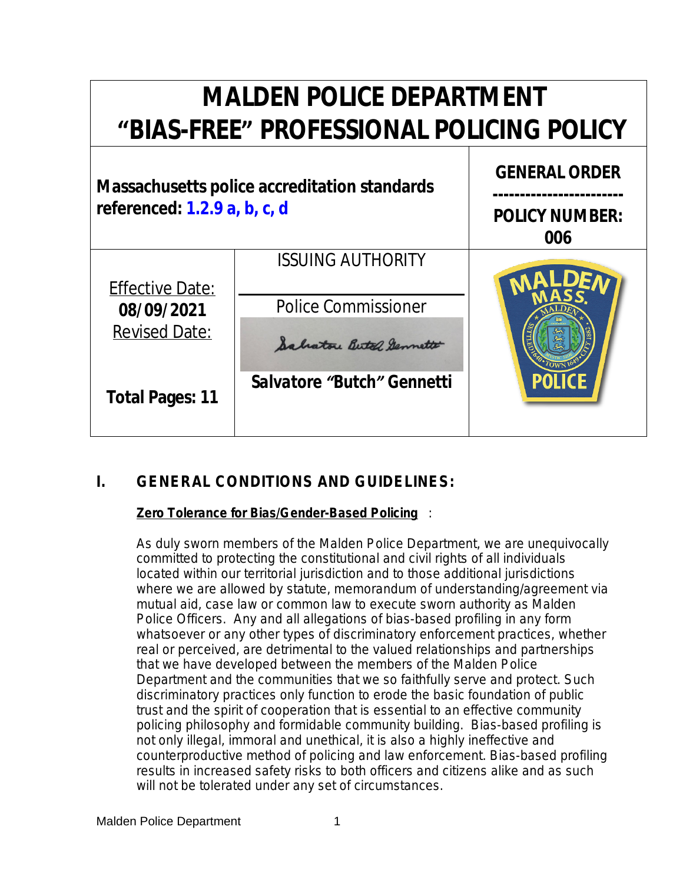# **MALDEN POLICE DEPARTMENT "BIAS-FREE" PROFESSIONAL POLICING POLICY GENERAL ORDER Massachusetts police accreditation standards ----------------------- referenced: 1.2.9 a, b, c, d POLICY NUMBER: 006** *ISSUING AUTHORITY* Effective Date: Police Commissioner **08/09/2021** Revised Date: Salvatore Butel Germette *Salvatore "Butch" Gennetti* **Total Pages: 11**

## **I. GENERAL CONDITIONS AND GUIDELINES:**

## **Zero Tolerance for Bias/Gender-Based Policing** :

As duly sworn members of the Malden Police Department, we are unequivocally committed to protecting the constitutional and civil rights of all individuals located within our territorial jurisdiction and to those additional jurisdictions where we are allowed by statute, memorandum of understanding/agreement via mutual aid, case law or common law to execute sworn authority as Malden Police Officers. Any and all allegations of bias-based profiling in any form whatsoever or any other types of discriminatory enforcement practices, whether real or perceived, are detrimental to the valued relationships and partnerships that we have developed between the members of the Malden Police Department and the communities that we so faithfully serve and protect. Such discriminatory practices only function to erode the basic foundation of public trust and the spirit of cooperation that is essential to an effective community policing philosophy and formidable community building. Bias-based profiling is not only illegal, immoral and unethical, it is also a highly ineffective and counterproductive method of policing and law enforcement. Bias-based profiling results in increased safety risks to both officers and citizens alike and as such will not be tolerated under any set of circumstances.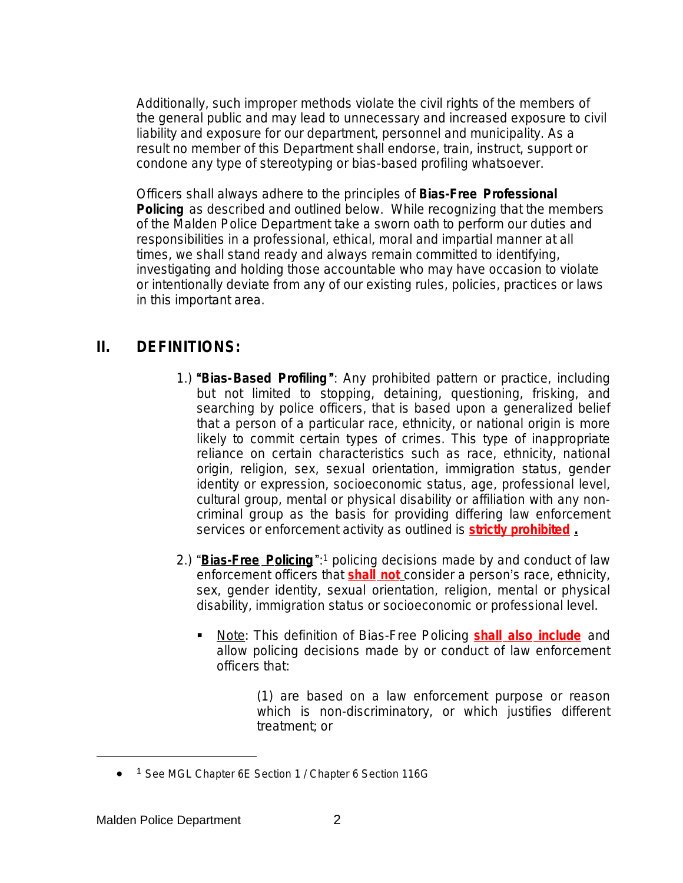Additionally, such improper methods violate the civil rights of the members of the general public and may lead to unnecessary and increased exposure to civil liability and exposure for our department, personnel and municipality. As a result no member of this Department shall endorse, train, instruct, support or condone any type of stereotyping or bias-based profiling whatsoever.

Officers shall always adhere to the principles of *Bias-Free Professional*  **Policing** as described and outlined below. While recognizing that the members of the Malden Police Department take a sworn oath to perform our duties and responsibilities in a professional, ethical, moral and impartial manner at all times, we shall stand ready and always remain committed to identifying, investigating and holding those accountable who may have occasion to violate or intentionally deviate from any of our existing rules, policies, practices or laws in this important area.

## **II. DEFINITIONS:**

- 1.) "*Bias-Based Profiling* ": Any prohibited pattern or practice, including but not limited to stopping, detaining, questioning, frisking, and searching by police officers, that is based upon a generalized belief that a person of a particular race, ethnicity, or national origin is more likely to commit certain types of crimes. This type of inappropriate reliance on certain characteristics such as race, ethnicity, national origin, religion, sex, sexual orientation, immigration status, gender identity or expression, socioeconomic status, age, professional level, cultural group, mental or physical disability or affiliation with any noncriminal group as the basis for providing differing law enforcement services or enforcement activity as outlined is **strictly prohibited .**
- 2.) "**Bias-Free Policing**":<sup>1</sup> policing decisions made by and conduct of law enforcement officers that *shall not*consider a person's race, ethnicity, sex, gender identity, sexual orientation, religion, mental or physical disability, immigration status or socioeconomic or professional level.
	- Note: This definition of Bias-Free Policing **shall also include** and allow policing decisions made by or conduct of law enforcement officers that:

(1) are based on a *law enforcement purpose* or reason which is non-discriminatory, or which justifies different treatment; or

<sup>• 1</sup> See MGL Chapter 6E Section 1 / Chapter 6 Section 116G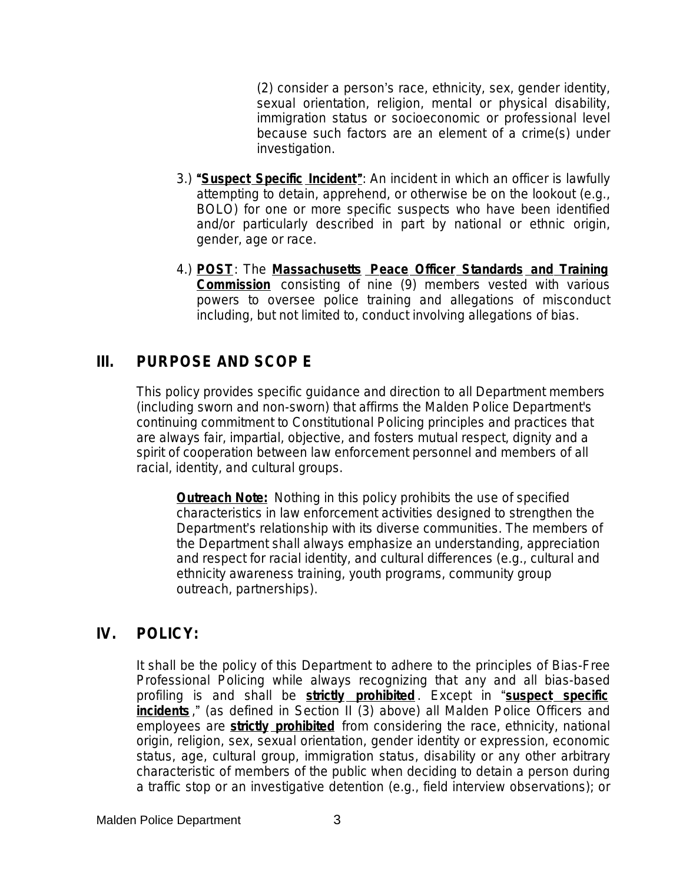(2) consider a person's race, ethnicity, sex, gender identity, sexual orientation, religion, mental or physical disability, immigration status or socioeconomic or professional level because such factors are an element of a crime(s) under investigation.

- 3.) "*Suspect Specific Incident*": An incident in which an officer is lawfully attempting to detain, apprehend, or otherwise be on the lookout (e.g., BOLO) for one or more specific suspects who have been identified and/or particularly described in part by national or ethnic origin, gender, age or race.
- 4.) *POST*: The **Massachusetts Peace Officer Standards and Training Commission** consisting of nine (9) members vested with various powers to oversee police training and allegations of misconduct including, but not limited to, conduct involving allegations of bias.

## **III. PURPOSE AND SCOP E**

This policy provides specific guidance and direction to all Department members (including sworn and non-sworn) that affirms the Malden Police Department's continuing commitment to Constitutional Policing principles and practices that are always fair, impartial, objective, and fosters mutual respect, dignity and a spirit of cooperation between law enforcement personnel and members of all racial, identity, and cultural groups.

**Outreach Note:** Nothing in this policy prohibits the use of specified characteristics in law enforcement activities designed to strengthen the Department's relationship with its diverse communities. The members of the Department shall always emphasize an understanding, appreciation and respect for racial identity, and cultural differences (e.g., cultural and ethnicity awareness training, youth programs, community group outreach, partnerships).

## **IV. POLICY:**

It shall be the policy of this Department to adhere to the principles of Bias-Free Professional Policing while always recognizing that any and all bias-based profiling is and shall be **strictly prohibited** . Except in "*suspect specific incidents* ," (as defined in Section II (3) above) all Malden Police Officers and employees are **strictly prohibited** from considering the race, ethnicity, national origin, religion, sex, sexual orientation, gender identity or expression, economic status, age, cultural group, immigration status, disability or any other arbitrary characteristic of members of the public when deciding to detain a person during a traffic stop or an investigative detention (e.g., field interview observations); or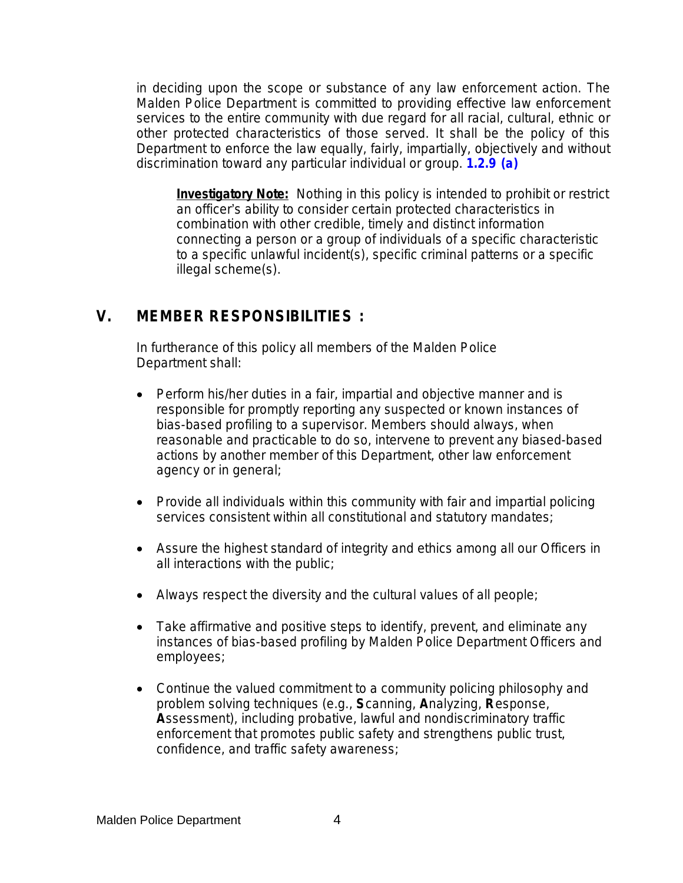in deciding upon the scope or substance of any law enforcement action. The Malden Police Department is committed to providing effective law enforcement services to the entire community with due regard for all racial, cultural, ethnic or other protected characteristics of those served. It shall be the policy of this Department to enforce the law equally, fairly, impartially, objectively and without discrimination toward any particular individual or group. **[1.2.9 \(a](file:///C:\\Users\\bkyes\\AppData\\Local\\Microsoft\\Windows\\Temporary%20Internet%20Files\\Mass%20Accreditation\\151%20Certification%20Standards\\1.2.9(a).doc))**

**Investigatory Note:** Nothing in this policy is intended to prohibit or restrict an officer's ability to consider certain protected characteristics in combination with other credible, timely and distinct information connecting a person or a group of individuals of a specific characteristic to a specific unlawful incident(s), specific criminal patterns or a specific illegal scheme(s).

## **V. MEMBER RESPONSIBILITIES :**

In furtherance of this policy all members of the Malden Police Department shall:

- Perform his/her duties in a fair, impartial and objective manner and is responsible for promptly reporting any suspected or known instances of bias-based profiling to a supervisor. Members should always, when reasonable and practicable to do so, intervene to prevent any biased-based actions by another member of this Department, other law enforcement agency or in general;
- Provide all individuals within this community with fair and impartial policing services consistent within all constitutional and statutory mandates;
- Assure the highest standard of integrity and ethics among all our Officers in all interactions with the public;
- Always respect the diversity and the cultural values of all people;
- Take affirmative and positive steps to identify, prevent, and eliminate any instances of bias-based profiling by Malden Police Department Officers and employees;
- Continue the valued commitment to a community policing philosophy and problem solving techniques (e.g., **S**canning, **A**nalyzing, **R**esponse, **A**ssessment), including probative, lawful and nondiscriminatory traffic enforcement that promotes public safety and strengthens public trust, confidence, and traffic safety awareness;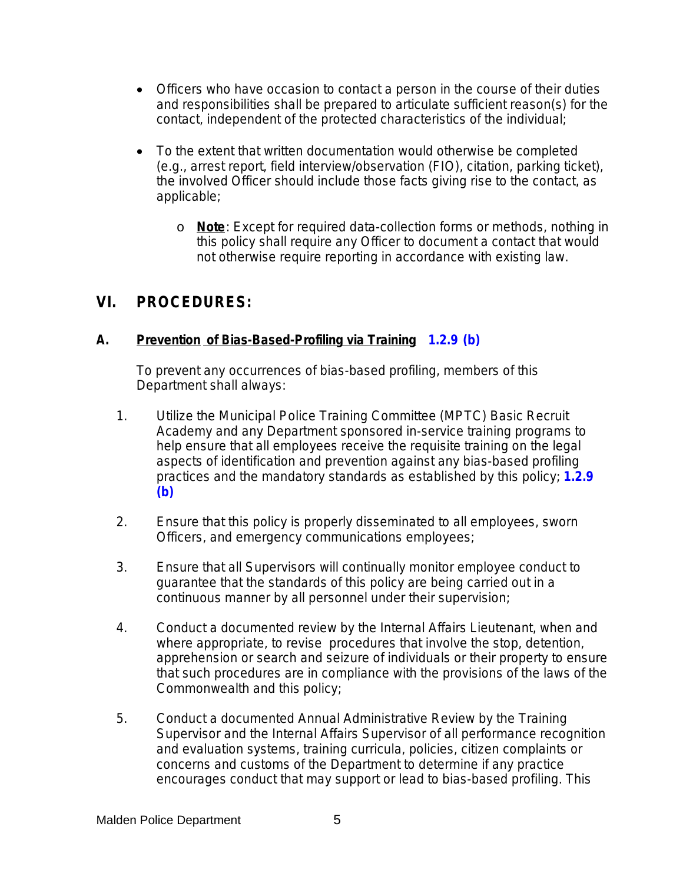- Officers who have occasion to contact a person in the course of their duties and responsibilities shall be prepared to articulate sufficient reason(s) for the contact, independent of the protected characteristics of the individual;
- To the extent that written documentation would otherwise be completed (e.g., arrest report, field interview/observation (FIO), citation, parking ticket), the involved Officer should include those facts giving rise to the contact, as applicable;
	- o **Note**: Except for required data-collection forms or methods, nothing in this policy shall require any Officer to document a contact that would not otherwise require reporting in accordance with existing law.

## **VI. PROCEDURES:**

#### **A.** *Prevention* **of Bias-Based-Profiling via Training 1.2.9 (b)**

To prevent any occurrences of bias-based profiling, members of this Department shall always:

- 1. Utilize the Municipal Police Training Committee (MPTC) Basic Recruit Academy and any Department sponsored in-service training programs to help ensure that all employees receive the requisite training on the legal aspects of identification and prevention against any bias-based profiling practices and the mandatory standards as established by this policy; **1.2.9 (b)**
- 2. Ensure that this policy is properly disseminated to all employees, sworn Officers, and emergency communications employees;
- 3. Ensure that all Supervisors will continually monitor employee conduct to guarantee that the standards of this policy are being carried out in a continuous manner by all personnel under their supervision;
- 4. Conduct a documented review by the Internal Affairs Lieutenant, when and where appropriate, to revise procedures that involve the stop, detention, apprehension or search and seizure of individuals or their property to ensure that such procedures are in compliance with the provisions of the laws of the Commonwealth and this policy;
- 5. Conduct a documented Annual Administrative Review by the Training Supervisor and the Internal Affairs Supervisor of all performance recognition and evaluation systems, training curricula, policies, citizen complaints or concerns and customs of the Department to determine if any practice encourages conduct that may support or lead to bias-based profiling. This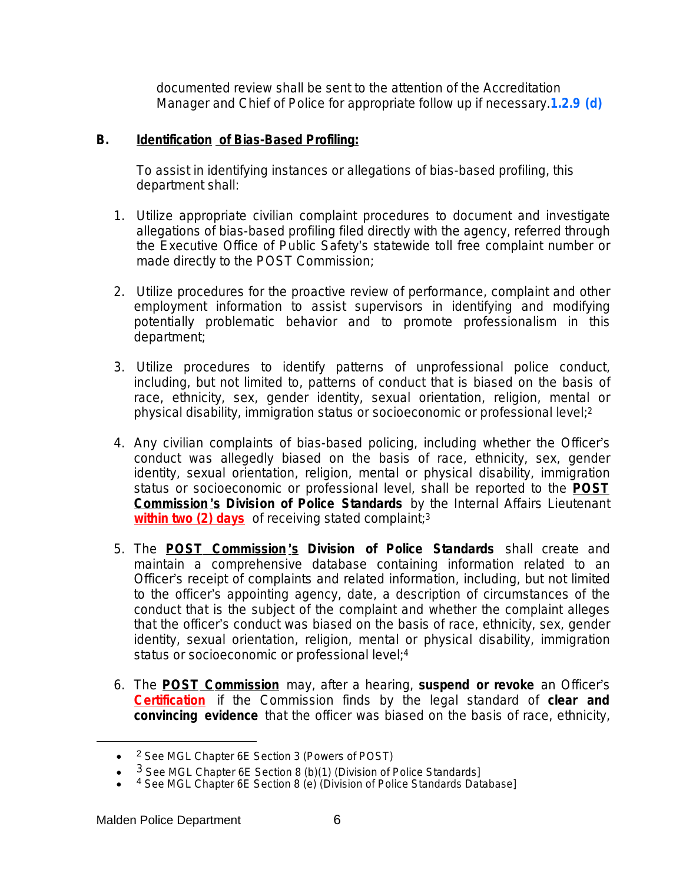documented review shall be sent to the attention of the Accreditation Manager and Chief of Police for appropriate follow up if necessary.**1.2.9 (d)**

#### **B.** *Identification* **of Bias-Based Profiling:**

To assist in identifying instances or allegations of bias-based profiling, this department shall:

- 1. Utilize appropriate civilian complaint procedures to document and investigate allegations of bias-based profiling filed directly with the agency, referred through the Executive Office of Public Safety's statewide toll free complaint number or made directly to the POST Commission;
- 2. Utilize procedures for the proactive review of performance, complaint and other employment information to assist supervisors in identifying and modifying potentially problematic behavior and to promote professionalism in this department;
- 3. Utilize procedures to identify patterns of unprofessional police conduct, including, but not limited to, patterns of conduct that is biased on the basis of race, ethnicity, sex, gender identity, sexual orientation, religion, mental or physical disability, immigration status or socioeconomic or professional level;<sup>2</sup>
- 4. Any civilian complaints of bias-based policing, including whether the Officer's conduct was allegedly biased on the basis of race, ethnicity, sex, gender identity, sexual orientation, religion, mental or physical disability, immigration status or socioeconomic or professional level, shall be reported to the **POST Commission** '**s** *Division of Police Standards* by the Internal Affairs Lieutenant **within two (2) days** of receiving stated complaint; 3
- 5. The **POST Commission** '**s** *Division of Police Standards* shall create and maintain a comprehensive database containing information related to an Officer's receipt of complaints and related information, including, but not limited to the officer's appointing agency, date, a description of circumstances of the conduct that is the subject of the complaint and whether the complaint alleges that the officer's conduct was biased on the basis of race, ethnicity, sex, gender identity, sexual orientation, religion, mental or physical disability, immigration status or socioeconomic or professional level; 4
- 6. The **POST Commission** *may*, after a hearing, *suspend or revoke* an Officer's *Certification* if the Commission finds by the legal standard of *clear and convincing evidence* that the officer was biased on the basis of race, ethnicity,

<sup>• &</sup>lt;sup>2</sup> See MGL Chapter 6E Section 3 (Powers of POST)

 $\bullet$  $3$  See MGL Chapter 6E Section 8 (b)(1) (Division of Police Standards]

 $\bullet$ <sup>4</sup> See MGL Chapter 6E Section 8 (e) (Division of Police Standards Database]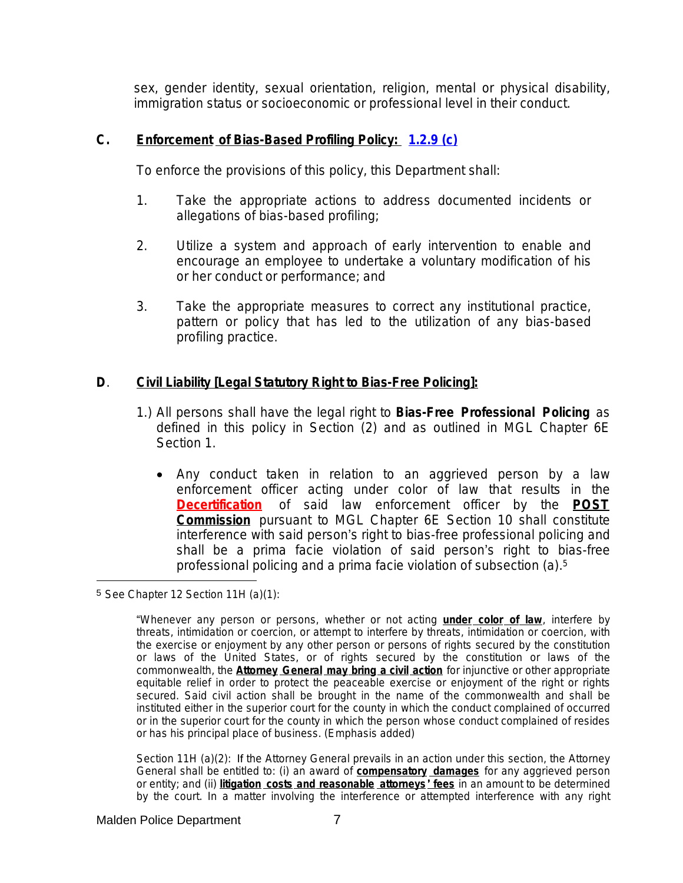sex, gender identity, sexual orientation, religion, mental or physical disability, immigration status or socioeconomic or professional level in their conduct.

#### **C.** *Enforcement* **of Bias-Based Profiling Policy: [1.2.9 \(c\)](file:///C:\\Users\\bkyes\\AppData\\Local\\Microsoft\\Windows\\Temporary%20Internet%20Files\\Mass%20Accreditation\\151%20Certification%20Standards\\1.2.9(c).doc)**

[To enforce the provisions of this policy, this Department shall:](file:///C:\\Users\\bkyes\\AppData\\Local\\Microsoft\\Windows\\Temporary%20Internet%20Files\\Mass%20Accreditation\\151%20Certification%20Standards\\1.2.9(c).doc)

- [1.](file:///C:\\Users\\bkyes\\AppData\\Local\\Microsoft\\Windows\\Temporary%20Internet%20Files\\Mass%20Accreditation\\151%20Certification%20Standards\\1.2.9(c).doc) [Take](file:///C:\\Users\\bkyes\\AppData\\Local\\Microsoft\\Windows\\Temporary%20Internet%20Files\\Mass%20Accreditation\\151%20Certification%20Standards\\1.2.9(c).doc) [the](file:///C:\\Users\\bkyes\\AppData\\Local\\Microsoft\\Windows\\Temporary%20Internet%20Files\\Mass%20Accreditation\\151%20Certification%20Standards\\1.2.9(c).doc) [appropriate](file:///C:\\Users\\bkyes\\AppData\\Local\\Microsoft\\Windows\\Temporary%20Internet%20Files\\Mass%20Accreditation\\151%20Certification%20Standards\\1.2.9(c).doc) actio[ns](file:///C:\\Users\\bkyes\\AppData\\Local\\Microsoft\\Windows\\Temporary%20Internet%20Files\\Mass%20Accreditation\\151%20Certification%20Standards\\1.2.9(c).doc) [t](file:///C:\\Users\\bkyes\\AppData\\Local\\Microsoft\\Windows\\Temporary%20Internet%20Files\\Mass%20Accreditation\\151%20Certification%20Standards\\1.2.9(c).doc)o address [documented](file:///C:\\Users\\bkyes\\AppData\\Local\\Microsoft\\Windows\\Temporary%20Internet%20Files\\Mass%20Accreditation\\151%20Certification%20Standards\\1.2.9(c).doc) incidents [or](file:///C:\\Users\\bkyes\\AppData\\Local\\Microsoft\\Windows\\Temporary%20Internet%20Files\\Mass%20Accreditation\\151%20Certification%20Standards\\1.2.9(c).doc) [allegations of bias-based profiling;](file:///C:\\Users\\bkyes\\AppData\\Local\\Microsoft\\Windows\\Temporary%20Internet%20Files\\Mass%20Accreditation\\151%20Certification%20Standards\\1.2.9(c).doc)
- [2.](file:///C:\\Users\\bkyes\\AppData\\Local\\Microsoft\\Windows\\Temporary%20Internet%20Files\\Mass%20Accreditation\\151%20Certification%20Standards\\1.2.9(c).doc) Utilize a [system](file:///C:\\Users\\bkyes\\AppData\\Local\\Microsoft\\Windows\\Temporary%20Internet%20Files\\Mass%20Accreditation\\151%20Certification%20Standards\\1.2.9(c).doc) and [approach](file:///C:\\Users\\bkyes\\AppData\\Local\\Microsoft\\Windows\\Temporary%20Internet%20Files\\Mass%20Accreditation\\151%20Certification%20Standards\\1.2.9(c).doc) [of](file:///C:\\Users\\bkyes\\AppData\\Local\\Microsoft\\Windows\\Temporary%20Internet%20Files\\Mass%20Accreditation\\151%20Certification%20Standards\\1.2.9(c).doc) [early](file:///C:\\Users\\bkyes\\AppData\\Local\\Microsoft\\Windows\\Temporary%20Internet%20Files\\Mass%20Accreditation\\151%20Certification%20Standards\\1.2.9(c).doc) [intervention](file:///C:\\Users\\bkyes\\AppData\\Local\\Microsoft\\Windows\\Temporary%20Internet%20Files\\Mass%20Accreditation\\151%20Certification%20Standards\\1.2.9(c).doc) to [enable](file:///C:\\Users\\bkyes\\AppData\\Local\\Microsoft\\Windows\\Temporary%20Internet%20Files\\Mass%20Accreditation\\151%20Certification%20Standards\\1.2.9(c).doc) and [encourage](file:///C:\\Users\\bkyes\\AppData\\Local\\Microsoft\\Windows\\Temporary%20Internet%20Files\\Mass%20Accreditation\\151%20Certification%20Standards\\1.2.9(c).doc) an employee to undertake a voluntary [modification](file:///C:\\Users\\bkyes\\AppData\\Local\\Microsoft\\Windows\\Temporary%20Internet%20Files\\Mass%20Accreditation\\151%20Certification%20Standards\\1.2.9(c).doc) of his [or her conduct or performance; and](file:///C:\\Users\\bkyes\\AppData\\Local\\Microsoft\\Windows\\Temporary%20Internet%20Files\\Mass%20Accreditation\\151%20Certification%20Standards\\1.2.9(c).doc)
- [3.](file:///C:\\Users\\bkyes\\AppData\\Local\\Microsoft\\Windows\\Temporary%20Internet%20Files\\Mass%20Accreditation\\151%20Certification%20Standards\\1.2.9(c).doc) [Take](file:///C:\\Users\\bkyes\\AppData\\Local\\Microsoft\\Windows\\Temporary%20Internet%20Files\\Mass%20Accreditation\\151%20Certification%20Standards\\1.2.9(c).doc) [the](file:///C:\\Users\\bkyes\\AppData\\Local\\Microsoft\\Windows\\Temporary%20Internet%20Files\\Mass%20Accreditation\\151%20Certification%20Standards\\1.2.9(c).doc) appropriate measures to correct any [institutional](file:///C:\\Users\\bkyes\\AppData\\Local\\Microsoft\\Windows\\Temporary%20Internet%20Files\\Mass%20Accreditation\\151%20Certification%20Standards\\1.2.9(c).doc) practice[,](file:///C:\\Users\\bkyes\\AppData\\Local\\Microsoft\\Windows\\Temporary%20Internet%20Files\\Mass%20Accreditation\\151%20Certification%20Standards\\1.2.9(c).doc) [pattern](file:///C:\\Users\\bkyes\\AppData\\Local\\Microsoft\\Windows\\Temporary%20Internet%20Files\\Mass%20Accreditation\\151%20Certification%20Standards\\1.2.9(c).doc) [or](file:///C:\\Users\\bkyes\\AppData\\Local\\Microsoft\\Windows\\Temporary%20Internet%20Files\\Mass%20Accreditation\\151%20Certification%20Standards\\1.2.9(c).doc) policy that has led to the [utilization](file:///C:\\Users\\bkyes\\AppData\\Local\\Microsoft\\Windows\\Temporary%20Internet%20Files\\Mass%20Accreditation\\151%20Certification%20Standards\\1.2.9(c).doc) [of](file:///C:\\Users\\bkyes\\AppData\\Local\\Microsoft\\Windows\\Temporary%20Internet%20Files\\Mass%20Accreditation\\151%20Certification%20Standards\\1.2.9(c).doc) [any](file:///C:\\Users\\bkyes\\AppData\\Local\\Microsoft\\Windows\\Temporary%20Internet%20Files\\Mass%20Accreditation\\151%20Certification%20Standards\\1.2.9(c).doc) [bias-based](file:///C:\\Users\\bkyes\\AppData\\Local\\Microsoft\\Windows\\Temporary%20Internet%20Files\\Mass%20Accreditation\\151%20Certification%20Standards\\1.2.9(c).doc) [profiling practice.](file:///C:\\Users\\bkyes\\AppData\\Local\\Microsoft\\Windows\\Temporary%20Internet%20Files\\Mass%20Accreditation\\151%20Certification%20Standards\\1.2.9(c).doc)

#### **[D](file:///C:\\Users\\bkyes\\AppData\\Local\\Microsoft\\Windows\\Temporary%20Internet%20Files\\Mass%20Accreditation\\151%20Certification%20Standards\\1.2.9(c).doc)**[.](file:///C:\\Users\\bkyes\\AppData\\Local\\Microsoft\\Windows\\Temporary%20Internet%20Files\\Mass%20Accreditation\\151%20Certification%20Standards\\1.2.9(c).doc) *[Civil Liability \[Legal Statutory Right to Bias-Free Policing\]:](file:///C:\\Users\\bkyes\\AppData\\Local\\Microsoft\\Windows\\Temporary%20Internet%20Files\\Mass%20Accreditation\\151%20Certification%20Standards\\1.2.9(c).doc)*

- 1.) All [persons](file:///C:\\Users\\bkyes\\AppData\\Local\\Microsoft\\Windows\\Temporary%20Internet%20Files\\Mass%20Accreditation\\151%20Certification%20Standards\\1.2.9(c).doc) shall have the [legal](file:///C:\\Users\\bkyes\\AppData\\Local\\Microsoft\\Windows\\Temporary%20Internet%20Files\\Mass%20Accreditation\\151%20Certification%20Standards\\1.2.9(c).doc) [right](file:///C:\\Users\\bkyes\\AppData\\Local\\Microsoft\\Windows\\Temporary%20Internet%20Files\\Mass%20Accreditation\\151%20Certification%20Standards\\1.2.9(c).doc) to *Bias-Free [Professional](file:///C:\\Users\\bkyes\\AppData\\Local\\Microsoft\\Windows\\Temporary%20Internet%20Files\\Mass%20Accreditation\\151%20Certification%20Standards\\1.2.9(c).doc) P[olicing](file:///C:\\Users\\bkyes\\AppData\\Local\\Microsoft\\Windows\\Temporary%20Internet%20Files\\Mass%20Accreditation\\151%20Certification%20Standards\\1.2.9(c).doc)* [as](file:///C:\\Users\\bkyes\\AppData\\Local\\Microsoft\\Windows\\Temporary%20Internet%20Files\\Mass%20Accreditation\\151%20Certification%20Standards\\1.2.9(c).doc) [defined](file:///C:\\Users\\bkyes\\AppData\\Local\\Microsoft\\Windows\\Temporary%20Internet%20Files\\Mass%20Accreditation\\151%20Certification%20Standards\\1.2.9(c).doc) in this policy in [Section](file:///C:\\Users\\bkyes\\AppData\\Local\\Microsoft\\Windows\\Temporary%20Internet%20Files\\Mass%20Accreditation\\151%20Certification%20Standards\\1.2.9(c).doc) (2) [and](file:///C:\\Users\\bkyes\\AppData\\Local\\Microsoft\\Windows\\Temporary%20Internet%20Files\\Mass%20Accreditation\\151%20Certification%20Standards\\1.2.9(c).doc) as [outlined](file:///C:\\Users\\bkyes\\AppData\\Local\\Microsoft\\Windows\\Temporary%20Internet%20Files\\Mass%20Accreditation\\151%20Certification%20Standards\\1.2.9(c).doc) in MGL [Chapter](file:///C:\\Users\\bkyes\\AppData\\Local\\Microsoft\\Windows\\Temporary%20Internet%20Files\\Mass%20Accreditation\\151%20Certification%20Standards\\1.2.9(c).doc) [6E](file:///C:\\Users\\bkyes\\AppData\\Local\\Microsoft\\Windows\\Temporary%20Internet%20Files\\Mass%20Accreditation\\151%20Certification%20Standards\\1.2.9(c).doc) [Section 1.](file:///C:\\Users\\bkyes\\AppData\\Local\\Microsoft\\Windows\\Temporary%20Internet%20Files\\Mass%20Accreditation\\151%20Certification%20Standards\\1.2.9(c).doc)
	- Any conduct taken in relation to an [aggrieved](file:///C:\\Users\\bkyes\\AppData\\Local\\Microsoft\\Windows\\Temporary%20Internet%20Files\\Mass%20Accreditation\\151%20Certification%20Standards\\1.2.9(c).doc) person by a law [enforcement](file:///C:\\Users\\bkyes\\AppData\\Local\\Microsoft\\Windows\\Temporary%20Internet%20Files\\Mass%20Accreditation\\151%20Certification%20Standards\\1.2.9(c).doc) officer acting under color of law that [results](file:///C:\\Users\\bkyes\\AppData\\Local\\Microsoft\\Windows\\Temporary%20Internet%20Files\\Mass%20Accreditation\\151%20Certification%20Standards\\1.2.9(c).doc) in the *[Decertification](file:///C:\\Users\\bkyes\\AppData\\Local\\Microsoft\\Windows\\Temporary%20Internet%20Files\\Mass%20Accreditation\\151%20Certification%20Standards\\1.2.9(c).doc)* of said law [enforcement](file:///C:\\Users\\bkyes\\AppData\\Local\\Microsoft\\Windows\\Temporary%20Internet%20Files\\Mass%20Accreditation\\151%20Certification%20Standards\\1.2.9(c).doc) officer by [the](file:///C:\\Users\\bkyes\\AppData\\Local\\Microsoft\\Windows\\Temporary%20Internet%20Files\\Mass%20Accreditation\\151%20Certification%20Standards\\1.2.9(c).doc) **[POST](file:///C:\\Users\\bkyes\\AppData\\Local\\Microsoft\\Windows\\Temporary%20Internet%20Files\\Mass%20Accreditation\\151%20Certification%20Standards\\1.2.9(c).doc) [Commission](file:///C:\\Users\\bkyes\\AppData\\Local\\Microsoft\\Windows\\Temporary%20Internet%20Files\\Mass%20Accreditation\\151%20Certification%20Standards\\1.2.9(c).doc)** [pursuant](file:///C:\\Users\\bkyes\\AppData\\Local\\Microsoft\\Windows\\Temporary%20Internet%20Files\\Mass%20Accreditation\\151%20Certification%20Standards\\1.2.9(c).doc) to MGL C[hapter](file:///C:\\Users\\bkyes\\AppData\\Local\\Microsoft\\Windows\\Temporary%20Internet%20Files\\Mass%20Accreditation\\151%20Certification%20Standards\\1.2.9(c).doc) 6E [Section](file:///C:\\Users\\bkyes\\AppData\\Local\\Microsoft\\Windows\\Temporary%20Internet%20Files\\Mass%20Accreditation\\151%20Certification%20Standards\\1.2.9(c).doc) 10 [shal](file:///C:\\Users\\bkyes\\AppData\\Local\\Microsoft\\Windows\\Temporary%20Internet%20Files\\Mass%20Accreditation\\151%20Certification%20Standards\\1.2.9(c).doc)l [constitute](file:///C:\\Users\\bkyes\\AppData\\Local\\Microsoft\\Windows\\Temporary%20Internet%20Files\\Mass%20Accreditation\\151%20Certification%20Standards\\1.2.9(c).doc) interference with said person's right to bias-free [professional](file:///C:\\Users\\bkyes\\AppData\\Local\\Microsoft\\Windows\\Temporary%20Internet%20Files\\Mass%20Accreditation\\151%20Certification%20Standards\\1.2.9(c).doc) policing and shall be a prima facie violation of said person's right to [bias-free](file:///C:\\Users\\bkyes\\AppData\\Local\\Microsoft\\Windows\\Temporary%20Internet%20Files\\Mass%20Accreditation\\151%20Certification%20Standards\\1.2.9(c).doc) [professional policing and a prima facie violation of subsection \(a\).](file:///C:\\Users\\bkyes\\AppData\\Local\\Microsoft\\Windows\\Temporary%20Internet%20Files\\Mass%20Accreditation\\151%20Certification%20Standards\\1.2.9(c).doc)[5](file:///C:\\Users\\bkyes\\AppData\\Local\\Microsoft\\Windows\\Temporary%20Internet%20Files\\Mass%20Accreditation\\151%20Certification%20Standards\\1.2.9(c).doc)

5 See Chapter 12 Section 11H (a)(1):

Section 11H (a)(2): If the Attorney General prevails in an action under this section, the Attorney General shall be entitled to: (i) an award of **compensatory damages** for any aggrieved person or entity; and (ii) **litigation costs and reasonable attorneys** ' **fees** in an amount to be determined by the court. In a matter involving the interference or attempted interference with any right

<sup>&</sup>quot;Whenever any person or persons, whether or not acting **under color of law**, interfere by *threats, intimidation or coercion*, or attempt to interfere by threats, intimidation or coercion, with the exercise or enjoyment by any other person or persons of rights secured by the constitution or laws of the United States, or of rights secured by the constitution or laws of the commonwealth, the **Attorney General may bring a civil action** for injunctive or other appropriate equitable relief in order to protect the peaceable exercise or enjoyment of the right or rights secured. Said civil action shall be brought in the name of the commonwealth and shall be instituted either in the superior court for the county in which the conduct complained of occurred or in the superior court for the county in which the person whose conduct complained of resides or has his principal place of business. (Emphasis added)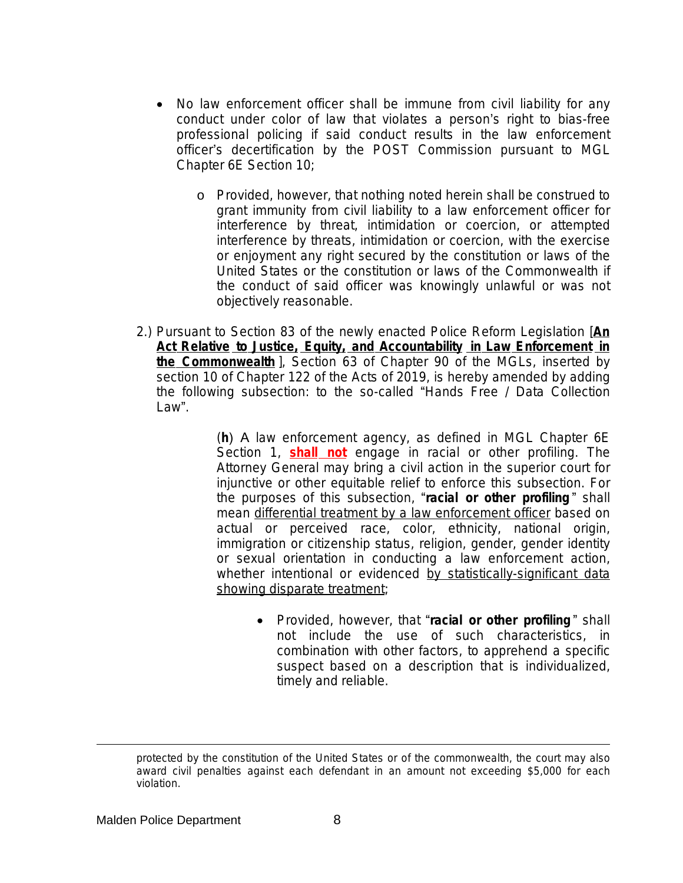- No law enforcement officer shall be immune from civil liability for any conduct under color of law that violates a person's right to bias-free professional policing if said conduct results in the law enforcement officer's decertification by the POST Commission pursuant to MGL Chapter 6E Section 10;
	- o Provided, however, that nothing noted herein shall be construed to grant immunity from civil liability to a law enforcement officer for interference by threat, intimidation or coercion, or attempted interference by threats, intimidation or coercion, with the exercise or enjoyment any right secured by the constitution or laws of the United States or the constitution or laws of the Commonwealth if the conduct of said officer was knowingly unlawful or was not objectively reasonable.
- 2.) Pursuant to Section 83 of the newly enacted Police Reform Legislation [*An Act Relative to Justice, Equity, and Accountability in Law Enforcement in the Commonwealth* ], Section 63 of Chapter 90 of the MGLs, inserted by section 10 of Chapter 122 of the Acts of 2019, is hereby amended by adding the following subsection: to the so-called "Hands Free / Data Collection Law".

(**h**) A law enforcement agency, as defined in MGL Chapter 6E Section 1, **shall not** engage in racial or other profiling. The Attorney General may bring a civil action in the superior court for injunctive or other equitable relief to enforce this subsection. For the purposes of this subsection, "*racial or other profiling* " shall mean *differential treatment by a law enforcement officer* based on actual or perceived race, color, ethnicity, national origin, immigration or citizenship status, religion, gender, gender identity or sexual orientation in conducting a law enforcement action, whether intentional or evidenced *by statistically-significant data showing disparate treatment*;

> Provided, however, that "*racial or other profiling* " shall not include the use of such characteristics, in combination with other factors, to apprehend a specific suspect based on a description that is individualized, timely and reliable.

protected by the constitution of the United States or of the commonwealth, the court may also award civil penalties against each defendant in an amount not exceeding \$5,000 for each violation.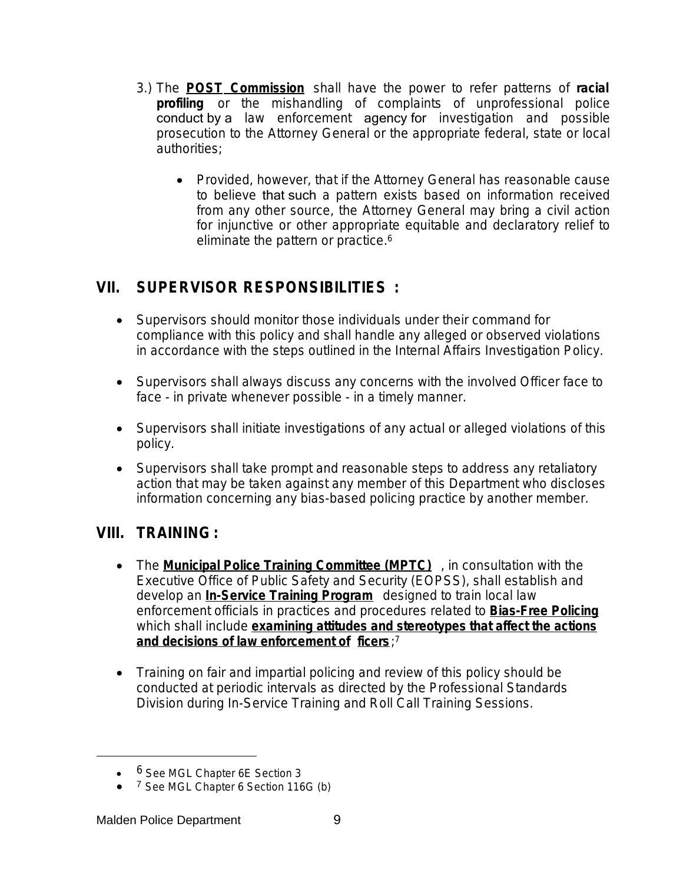- 3.) The **POST Commission** shall have the power to refer patterns of *racial profiling* or the mishandling of complaints of unprofessional police conduct by a law enforcement agency for investigation and possible prosecution to the Attorney General or the appropriate federal, state or local authorities;
	- Provided, however, that if the Attorney General has reasonable cause to believe that such a pattern exists based on information received from any other source, the Attorney General may bring a civil action for injunctive or other appropriate equitable and declaratory relief to eliminate the pattern or practice.<sup>6</sup>

## **VII. SUPERVISOR RESPONSIBILITIES :**

- Supervisors should monitor those individuals under their command for compliance with this policy and shall handle any alleged or observed violations in accordance with the steps outlined in the Internal Affairs Investigation Policy.
- Supervisors shall always discuss any concerns with the involved Officer face to face - in private whenever possible - in a timely manner.
- Supervisors shall initiate investigations of any actual or alleged violations of this policy.
- Supervisors shall take prompt and reasonable steps to address any retaliatory action that may be taken against any member of this Department who discloses information concerning any bias-based policing practice by another member.

## **VIII. TRAINING:**

- **•** The **Municipal Police Training Committee (MPTC)**, in consultation with the Executive Office of Public Safety and Security (EOPSS), shall establish and develop an **In-Service Training Program** designed to train local law enforcement officials in practices and procedures related to **Bias-Free Policing** which shall include **examining attitudes and stereotypes that affect the actions and decisions of law enforcement of ficers**; 7
- Training on fair and impartial policing and review of this policy should be conducted at periodic intervals as directed by the Professional Standards Division during In-Service Training and Roll Call Training Sessions.

<sup>• 6</sup> See MGL Chapter 6E Section 3

<sup>● 7</sup> See MGL Chapter 6 Section 116G (b)